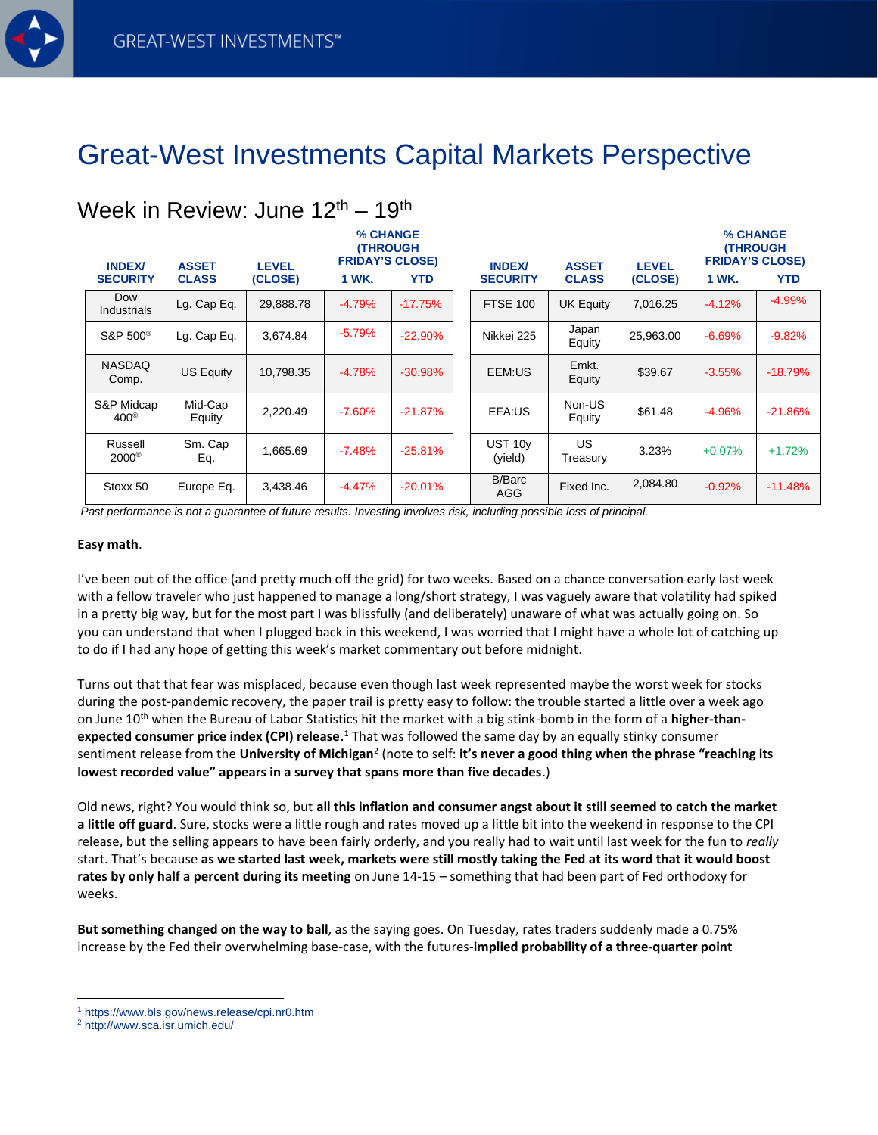Week in Review: June 12th – 19th

## Great-West Investments Capital Markets Perspective

| <b>INDEX/</b><br><b>SECURITY</b> | <b>ASSET</b><br><b>CLASS</b> | <b>LEVEL</b><br>(CLOSE) | % CHANGE<br><b>(THROUGH</b><br><b>FRIDAY'S CLOSE)</b><br>1 WK.<br><b>YTD</b> |           |  | <b>INDEX/</b><br><b>SECURITY</b> | <b>ASSET</b><br><b>CLASS</b> | <b>LEVEL</b><br>(CLOSE) | % CHANGE<br><b>(THROUGH</b><br><b>FRIDAY'S CLOSE)</b><br>1 WK.<br><b>YTD</b> |           |
|----------------------------------|------------------------------|-------------------------|------------------------------------------------------------------------------|-----------|--|----------------------------------|------------------------------|-------------------------|------------------------------------------------------------------------------|-----------|
| Dow<br>Industrials               | Lg. Cap Eq.                  | 29,888.78               | $-4.79%$                                                                     | $-17.75%$ |  | <b>FTSE 100</b>                  | <b>UK Equity</b>             | 7,016.25                | $-4.12%$                                                                     | $-4.99%$  |
| S&P 500 <sup>®</sup>             | Lg. Cap Eq.                  | 3,674.84                | $-5.79%$                                                                     | $-22.90%$ |  | Nikkei 225                       | Japan<br>Equity              | 25,963.00               | $-6.69%$                                                                     | $-9.82%$  |
| <b>NASDAQ</b><br>Comp.           | <b>US Equity</b>             | 10.798.35               | $-4.78%$                                                                     | $-30.98%$ |  | EEM:US                           | Emkt.<br>Equity              | \$39.67                 | $-3.55%$                                                                     | $-18.79%$ |
| S&P Midcap<br>$400^{\circ}$      | Mid-Cap<br>Equity            | 2,220.49                | $-7.60%$                                                                     | $-21.87%$ |  | EFA:US                           | Non-US<br>Equity             | \$61.48                 | $-4.96%$                                                                     | $-21.86%$ |
| Russell<br>$2000$ <sup>®</sup>   | Sm. Cap<br>Eq.               | 1,665.69                | $-7.48%$                                                                     | $-25.81%$ |  | UST 10y<br>(yield)               | US.<br>Treasury              | 3.23%                   | $+0.07%$                                                                     | $+1.72%$  |
| Stoxx 50                         | Europe Eq.                   | 3,438.46                | $-4.47%$                                                                     | $-20.01%$ |  | <b>B/Barc</b><br>AGG             | Fixed Inc.                   | 2,084.80                | $-0.92%$                                                                     | $-11.48%$ |

*Past performance is not a guarantee of future results. Investing involves risk, including possible loss of principal.*

## **Easy math**.

I've been out of the office (and pretty much off the grid) for two weeks. Based on a chance conversation early last week with a fellow traveler who just happened to manage a long/short strategy, I was vaguely aware that volatility had spiked in a pretty big way, but for the most part I was blissfully (and deliberately) unaware of what was actually going on. So you can understand that when I plugged back in this weekend, I was worried that I might have a whole lot of catching up to do if I had any hope of getting this week's market commentary out before midnight.

Turns out that that fear was misplaced, because even though last week represented maybe the worst week for stocks during the post-pandemic recovery, the paper trail is pretty easy to follow: the trouble started a little over a week ago on June 10th when the Bureau of Labor Statistics hit the market with a big stink-bomb in the form of a **higher-thanexpected consumer price index (CPI) release.** <sup>1</sup> That was followed the same day by an equally stinky consumer sentiment release from the **University of Michigan<sup>2</sup> (note to self: <b>it's never a good thing when the phrase "reaching its lowest recorded value" appears in a survey that spans more than five decades**.)

Old news, right? You would think so, but **all this inflation and consumer angst about it still seemed to catch the market a little off guard**. Sure, stocks were a little rough and rates moved up a little bit into the weekend in response to the CPI release, but the selling appears to have been fairly orderly, and you really had to wait until last week for the fun to *really* start. That's because **as we started last week, markets were still mostly taking the Fed at its word that it would boost rates by only half a percent during its meeting** on June 14-15 – something that had been part of Fed orthodoxy for weeks.

**But something changed on the way to ball**, as the saying goes. On Tuesday, rates traders suddenly made a 0.75% increase by the Fed their overwhelming base-case, with the futures-**implied probability of a three-quarter point** 

<sup>1</sup> https://www.bls.gov/news.release/cpi.nr0.htm

<sup>2</sup> http://www.sca.isr.umich.edu/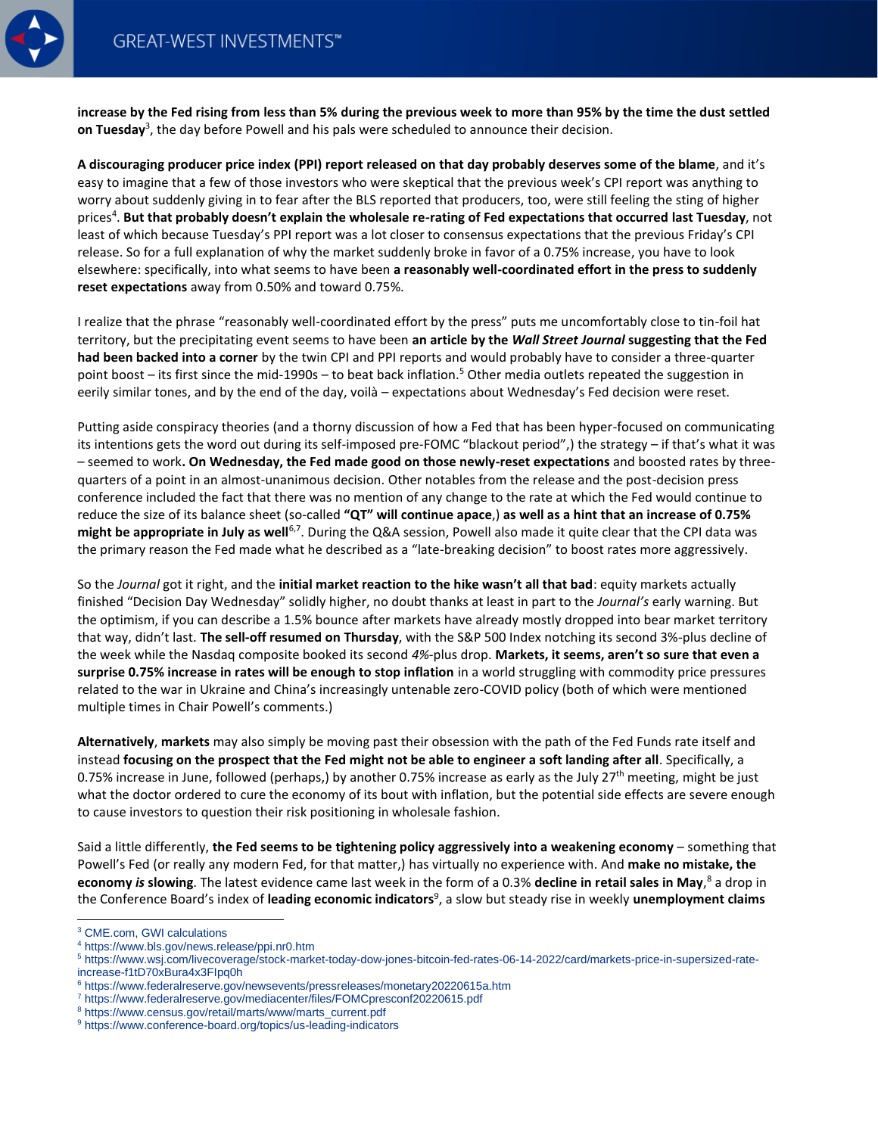

**increase by the Fed rising from less than 5% during the previous week to more than 95% by the time the dust settled on Tuesday**<sup>3</sup> , the day before Powell and his pals were scheduled to announce their decision.

**A discouraging producer price index (PPI) report released on that day probably deserves some of the blame**, and it's easy to imagine that a few of those investors who were skeptical that the previous week's CPI report was anything to worry about suddenly giving in to fear after the BLS reported that producers, too, were still feeling the sting of higher prices<sup>4</sup>. But that probably doesn't explain the wholesale re-rating of Fed expectations that occurred last Tuesday, not least of which because Tuesday's PPI report was a lot closer to consensus expectations that the previous Friday's CPI release. So for a full explanation of why the market suddenly broke in favor of a 0.75% increase, you have to look elsewhere: specifically, into what seems to have been **a reasonably well-coordinated effort in the press to suddenly reset expectations** away from 0.50% and toward 0.75%.

I realize that the phrase "reasonably well-coordinated effort by the press" puts me uncomfortably close to tin-foil hat territory, but the precipitating event seems to have been **an article by the** *Wall Street Journal* **suggesting that the Fed had been backed into a corner** by the twin CPI and PPI reports and would probably have to consider a three-quarter point boost – its first since the mid-1990s – to beat back inflation.<sup>5</sup> Other media outlets repeated the suggestion in eerily similar tones, and by the end of the day, voilà – expectations about Wednesday's Fed decision were reset.

Putting aside conspiracy theories (and a thorny discussion of how a Fed that has been hyper-focused on communicating its intentions gets the word out during its self-imposed pre-FOMC "blackout period",) the strategy – if that's what it was – seemed to work**. On Wednesday, the Fed made good on those newly-reset expectations** and boosted rates by threequarters of a point in an almost-unanimous decision. Other notables from the release and the post-decision press conference included the fact that there was no mention of any change to the rate at which the Fed would continue to reduce the size of its balance sheet (so-called **"QT" will continue apace**,) **as well as a hint that an increase of 0.75%** might be appropriate in July as well<sup>6,7</sup>. During the Q&A session, Powell also made it quite clear that the CPI data was the primary reason the Fed made what he described as a "late-breaking decision" to boost rates more aggressively.

So the *Journal* got it right, and the **initial market reaction to the hike wasn't all that bad**: equity markets actually finished "Decision Day Wednesday" solidly higher, no doubt thanks at least in part to the *Journal's* early warning. But the optimism, if you can describe a 1.5% bounce after markets have already mostly dropped into bear market territory that way, didn't last. **The sell-off resumed on Thursday**, with the S&P 500 Index notching its second 3%-plus decline of the week while the Nasdaq composite booked its second *4%*-plus drop. **Markets, it seems, aren't so sure that even a surprise 0.75% increase in rates will be enough to stop inflation** in a world struggling with commodity price pressures related to the war in Ukraine and China's increasingly untenable zero-COVID policy (both of which were mentioned multiple times in Chair Powell's comments.)

**Alternatively**, **markets** may also simply be moving past their obsession with the path of the Fed Funds rate itself and instead **focusing on the prospect that the Fed might not be able to engineer a soft landing after all**. Specifically, a 0.75% increase in June, followed (perhaps,) by another 0.75% increase as early as the July 27<sup>th</sup> meeting, might be just what the doctor ordered to cure the economy of its bout with inflation, but the potential side effects are severe enough to cause investors to question their risk positioning in wholesale fashion.

Said a little differently, **the Fed seems to be tightening policy aggressively into a weakening economy** – something that Powell's Fed (or really any modern Fed, for that matter,) has virtually no experience with. And **make no mistake, the economy** *is* **slowing**. The latest evidence came last week in the form of a 0.3% **decline in retail sales in May**, <sup>8</sup> a drop in the Conference Board's index of **leading economic indicators**<sup>9</sup> , a slow but steady rise in weekly **unemployment claims**

<sup>3</sup> CME.com, GWI calculations

<sup>4</sup> https://www.bls.gov/news.release/ppi.nr0.htm

<sup>5</sup> https://www.wsj.com/livecoverage/stock-market-today-dow-jones-bitcoin-fed-rates-06-14-2022/card/markets-price-in-supersized-rateincrease-f1tD70xBura4x3FIpq0h

<sup>6</sup> https://www.federalreserve.gov/newsevents/pressreleases/monetary20220615a.htm

<sup>7</sup> https://www.federalreserve.gov/mediacenter/files/FOMCpresconf20220615.pdf

<sup>8</sup> https://www.census.gov/retail/marts/www/marts\_current.pdf

<sup>9</sup> https://www.conference-board.org/topics/us-leading-indicators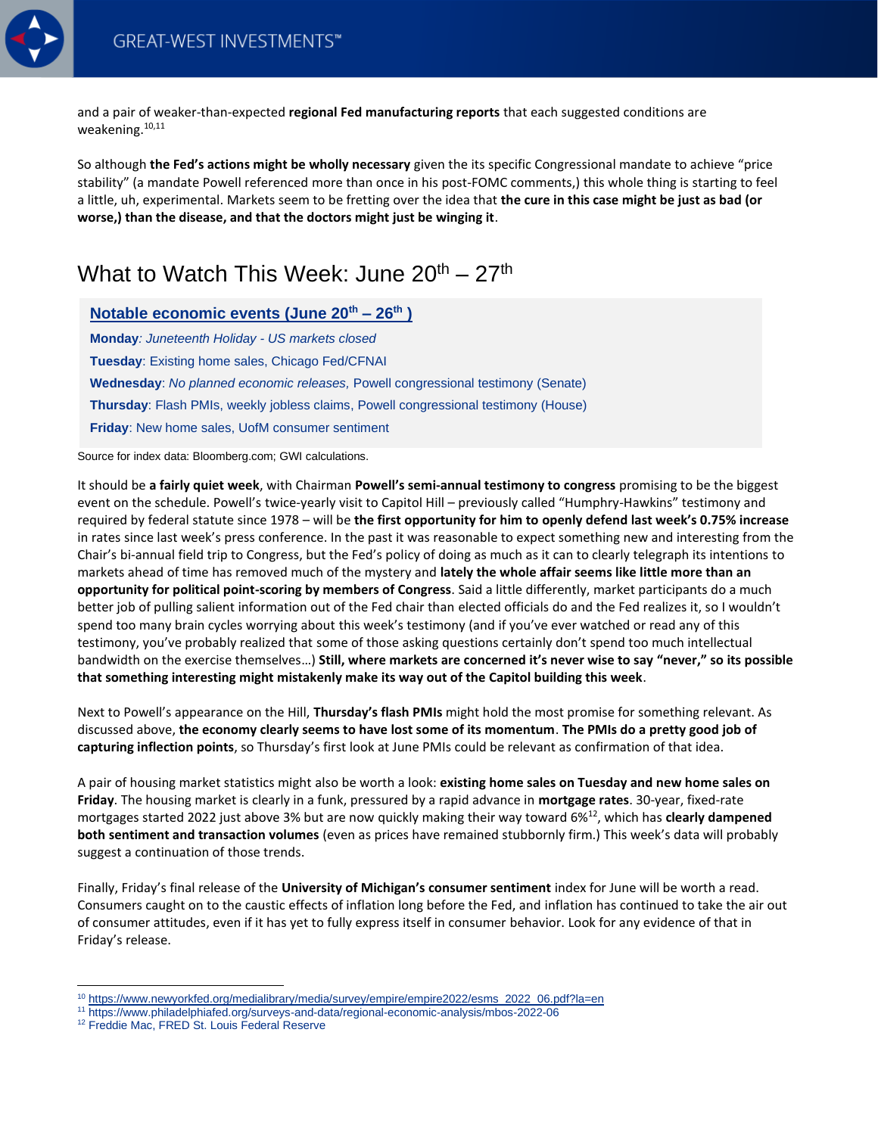

and a pair of weaker-than-expected **regional Fed manufacturing reports** that each suggested conditions are weakening. 10,11

So although **the Fed's actions might be wholly necessary** given the its specific Congressional mandate to achieve "price stability" (a mandate Powell referenced more than once in his post-FOMC comments,) this whole thing is starting to feel a little, uh, experimental. Markets seem to be fretting over the idea that **the cure in this case might be just as bad (or worse,) than the disease, and that the doctors might just be winging it**.

## What to Watch This Week: June  $20^{th} - 27^{th}$

**Notable economic events (June 20th – 26th )** 

**Monday***: Juneteenth Holiday - US markets closed* **Tuesday**: Existing home sales, Chicago Fed/CFNAI **Wednesday**: *No planned economic releases,* Powell congressional testimony (Senate) **Thursday**: Flash PMIs, weekly jobless claims, Powell congressional testimony (House) **Friday**: New home sales, UofM consumer sentiment

Source for index data: Bloomberg.com; GWI calculations.

It should be **a fairly quiet week**, with Chairman **Powell's semi-annual testimony to congress** promising to be the biggest event on the schedule. Powell's twice-yearly visit to Capitol Hill – previously called "Humphry-Hawkins" testimony and required by federal statute since 1978 – will be **the first opportunity for him to openly defend last week's 0.75% increase** in rates since last week's press conference. In the past it was reasonable to expect something new and interesting from the Chair's bi-annual field trip to Congress, but the Fed's policy of doing as much as it can to clearly telegraph its intentions to markets ahead of time has removed much of the mystery and **lately the whole affair seems like little more than an opportunity for political point-scoring by members of Congress**. Said a little differently, market participants do a much better job of pulling salient information out of the Fed chair than elected officials do and the Fed realizes it, so I wouldn't spend too many brain cycles worrying about this week's testimony (and if you've ever watched or read any of this testimony, you've probably realized that some of those asking questions certainly don't spend too much intellectual bandwidth on the exercise themselves…) **Still, where markets are concerned it's never wise to say "never," so its possible that something interesting might mistakenly make its way out of the Capitol building this week**.

Next to Powell's appearance on the Hill, **Thursday's flash PMIs** might hold the most promise for something relevant. As discussed above, **the economy clearly seems to have lost some of its momentum**. **The PMIs do a pretty good job of capturing inflection points**, so Thursday's first look at June PMIs could be relevant as confirmation of that idea.

A pair of housing market statistics might also be worth a look: **existing home sales on Tuesday and new home sales on Friday**. The housing market is clearly in a funk, pressured by a rapid advance in **mortgage rates**. 30-year, fixed-rate mortgages started 2022 just above 3% but are now quickly making their way toward 6%<sup>12</sup>, which has **clearly dampened both sentiment and transaction volumes** (even as prices have remained stubbornly firm.) This week's data will probably suggest a continuation of those trends.

Finally, Friday's final release of the **University of Michigan's consumer sentiment** index for June will be worth a read. Consumers caught on to the caustic effects of inflation long before the Fed, and inflation has continued to take the air out of consumer attitudes, even if it has yet to fully express itself in consumer behavior. Look for any evidence of that in Friday's release.

<sup>10</sup> [https://www.newyorkfed.org/medialibrary/media/survey/empire/empire2022/esms\\_2022\\_06.pdf?la=en](https://www.newyorkfed.org/medialibrary/media/survey/empire/empire2022/esms_2022_06.pdf?la=en)

<sup>11</sup> https://www.philadelphiafed.org/surveys-and-data/regional-economic-analysis/mbos-2022-06

<sup>&</sup>lt;sup>12</sup> Freddie Mac, FRED St. Louis Federal Reserve